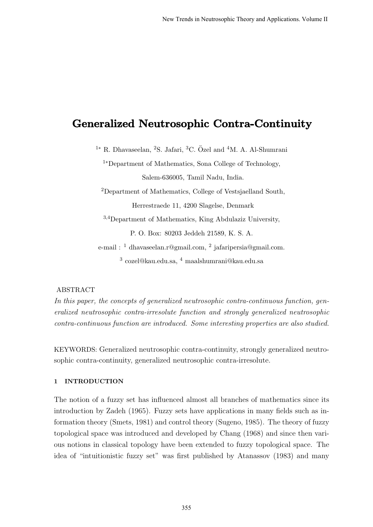# Generalized Neutrosophic Contra-Continuity

 $1*$  R. Dhavaseelan, <sup>2</sup>S. Jafari, <sup>3</sup>C. Özel and <sup>4</sup>M. A. Al-Shumrani

<sup>1</sup>∗Department of Mathematics, Sona College of Technology, Salem-636005, Tamil Nadu, India.

<sup>2</sup>Department of Mathematics, College of Vestsjaelland South, Herrestraede 11, 4200 Slagelse, Denmark

<sup>3</sup>,4Department of Mathematics, King Abdulaziz University, P. O. Box: 80203 Jeddeh 21589, K. S. A.

e-mail : <sup>1</sup> dhavaseelan.r@gmail.com, <sup>2</sup> jafaripersia@gmail.com.  $^3$  cozel@kau.edu.sa,  $^4$  maalshumrani@kau.edu.sa

# ABSTRACT

In this paper, the concepts of generalized neutrosophic contra-continuous function, generalized neutrosophic contra-irresolute function and strongly generalized neutrosophic contra-continuous function are introduced. Some interesting properties are also studied.

KEYWORDS: Generalized neutrosophic contra-continuity, strongly generalized neutrosophic contra-continuity, generalized neutrosophic contra-irresolute.

# 1 INTRODUCTION

The notion of a fuzzy set has influenced almost all branches of mathematics since its introduction by Zadeh (1965). Fuzzy sets have applications in many fields such as information theory (Smets, 1981) and control theory (Sugeno, 1985). The theory of fuzzy topological space was introduced and developed by Chang (1968) and since then various notions in classical topology have been extended to fuzzy topological space. The idea of "intuitionistic fuzzy set" was first published by Atanassov (1983) and many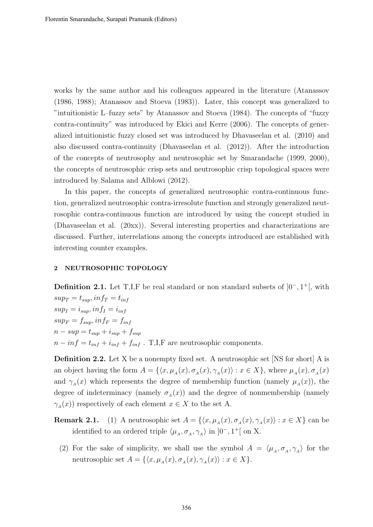works by the same author and his colleagues appeared in the literature (Atanassov (1986, 1988); Atanassov and Stoeva (1983)). Later, this concept was generalized to "intuitionistic L–fuzzy sets" by Atanassov and Stoeva (1984). The concepts of "fuzzy contra-continuity" was introduced by Ekici and Kerre (2006). The concepts of generalized intuitionistic fuzzy closed set was introduced by Dhavaseelan et al. (2010) and also discussed contra-continuity (Dhavaseelan et al. (2012)). After the introduction of the concepts of neutrosophy and neutrosophic set by Smarandache (1999, 2000), the concepts of neutrosophic crisp sets and neutrosophic crisp topological spaces were introduced by Salama and Alblowi (2012).

In this paper, the concepts of generalized neutrosophic contra-continuous function, generalized neutrosophic contra-irresolute function and strongly generalized neutrosophic contra-continuous function are introduced by using the concept studied in (Dhavaseelan et al. (20xx)). Several interesting properties and characterizations are discussed. Further, interrelations among the concepts introduced are established with interesting counter examples.

#### 2 NEUTROSOPHIC TOPOLOGY

**Definition 2.1.** Let T,I,F be real standard or non standard subsets of  $]0^-, 1^+[$ , with  $sup_T = t_{sup}$ ,  $inf_T = t_{inf}$  $sup_I = i_{sup}, inf_I = i_{inf}$  $sup_F = f_{sup}, inf_F = f_{inf}$  $n - sup = t_{sup} + i_{sup} + f_{sup}$  $n - inf = t_{inf} + i_{inf} + f_{inf}$ . T,I,F are neutrosophic components.

Definition 2.2. Let X be a nonempty fixed set. A neutrosophic set [NS for short] A is an object having the form  $A = \{ \langle x, \mu_A(x), \sigma_A(x), \gamma_A(x) \rangle : x \in X \}$ , where  $\mu_A(x), \sigma_A(x)$ and  $\gamma_A(x)$  which represents the degree of membership function (namely  $\mu_A(x)$ ), the degree of indeterminacy (namely  $\sigma_A(x)$ ) and the degree of nonmembership (namely  $\gamma_A(x)$  respectively of each element  $x \in X$  to the set A.

- **Remark 2.1.** (1) A neutrosophic set  $A = \{ \langle x, \mu_A(x), \sigma_A(x), \gamma_A(x) \rangle : x \in X \}$  can be identified to an ordered triple  $\langle \mu_A, \sigma_A, \gamma_A \rangle$  in  $]0^-, 1^+[$  on X.
	- (2) For the sake of simplicity, we shall use the symbol  $A = \langle \mu_A, \sigma_A, \gamma_A \rangle$  for the neutrosophic set  $A = \{ \langle x, \mu_A(x), \sigma_A(x), \gamma_A(x) \rangle : x \in X \}.$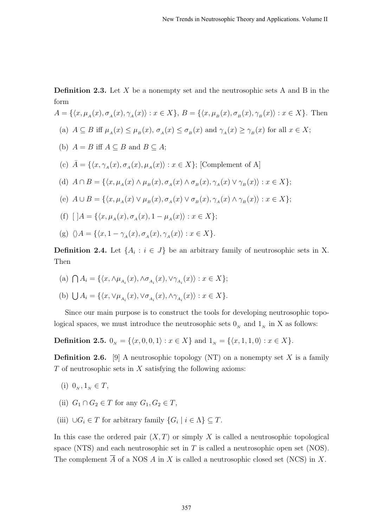**Definition 2.3.** Let  $X$  be a nonempty set and the neutrosophic sets  $A$  and  $B$  in the form

$$
A = \{ \langle x, \mu_A(x), \sigma_A(x), \gamma_A(x) \rangle : x \in X \}, B = \{ \langle x, \mu_B(x), \sigma_B(x), \gamma_B(x) \rangle : x \in X \}.
$$
 Then

- (a)  $A \subseteq B$  iff  $\mu_A(x) \leq \mu_B(x)$ ,  $\sigma_A(x) \leq \sigma_B(x)$  and  $\gamma_A(x) \geq \gamma_B(x)$  for all  $x \in X$ ;
- (b)  $A = B$  iff  $A \subseteq B$  and  $B \subseteq A$ ;
- (c)  $\bar{A} = \{ \langle x, \gamma_A(x), \sigma_A(x), \mu_A(x) \rangle : x \in X \};$  [Complement of A]
- (d)  $A \cap B = \{ \langle x, \mu_A(x) \land \mu_B(x), \sigma_A(x) \land \sigma_B(x), \gamma_A(x) \lor \gamma_B(x) \rangle : x \in X \};$
- (e)  $A \cup B = \{ \langle x, \mu_A(x) \vee \mu_B(x), \sigma_A(x) \vee \sigma_B(x), \gamma_A(x) \wedge \gamma_B(x) \rangle : x \in X \};$
- (f)  $[$   $]A = \{ \langle x, \mu_A(x), \sigma_A(x), 1 \mu_A(x) \rangle : x \in X \};$
- (g)  $\langle A = {\langle x, 1 \gamma_A(x), \sigma_A(x), \gamma_A(x) \rangle : x \in X}$ .

**Definition 2.4.** Let  $\{A_i : i \in J\}$  be an arbitrary family of neutrosophic sets in X. Then

(a)  $\bigcap A_i = \{ \langle x, \wedge \mu_{A_i}(x), \wedge \sigma_{A_i}(x), \vee \gamma_{A_i}(x) \rangle : x \in X \};$ 

(b) 
$$
\bigcup A_i = \{ \langle x, \vee \mu_{A_i}(x), \vee \sigma_{A_i}(x), \wedge \gamma_{A_i}(x) \rangle : x \in X \}.
$$

Since our main purpose is to construct the tools for developing neutrosophic topological spaces, we must introduce the neutrosophic sets  $0<sub>N</sub>$  and  $1<sub>N</sub>$  in X as follows:

**Definition 2.5.**  $0_N = \{\langle x, 0, 0, 1 \rangle : x \in X\}$  and  $1_N = \{\langle x, 1, 1, 0 \rangle : x \in X\}.$ 

**Definition 2.6.** [9] A neutrosophic topology (NT) on a nonempty set X is a family  $T$  of neutrosophic sets in  $X$  satisfying the following axioms:

- (i)  $0_N, 1_N \in T$ ,
- (ii)  $G_1 \cap G_2 \in T$  for any  $G_1, G_2 \in T$ ,
- (iii)  $\bigcup G_i \in T$  for arbitrary family  $\{G_i \mid i \in \Lambda\} \subseteq T$ .

In this case the ordered pair  $(X, T)$  or simply X is called a neutrosophic topological space (NTS) and each neutrosophic set in  $T$  is called a neutrosophic open set (NOS). The complement  $\overline{A}$  of a NOS A in X is called a neutrosophic closed set (NCS) in X.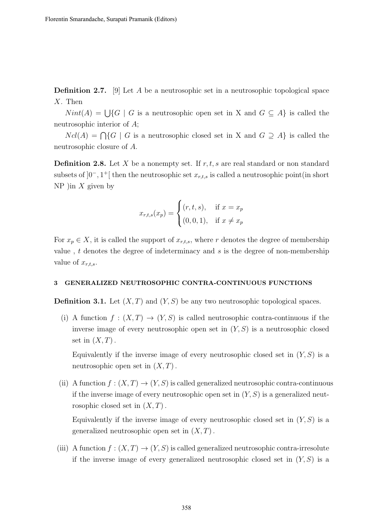**Definition 2.7.** [9] Let A be a neutrosophic set in a neutrosophic topological space X. Then

 $Nint(A) = \bigcup \{G \mid G$  is a neutrosophic open set in X and  $G \subseteq A\}$  is called the neutrosophic interior of A;

 $Ncl(A) = \bigcap \{G \mid G$  is a neutrosophic closed set in X and  $G \supseteq A\}$  is called the neutrosophic closure of A.

**Definition 2.8.** Let X be a nonempty set. If  $r, t, s$  are real standard or non standard subsets of  $]0^-, 1^+[$  then the neutrosophic set  $x_{r,t,s}$  is called a neutrosophic point(in short NP )in  $X$  given by

$$
x_{r,t,s}(x_p) = \begin{cases} (r,t,s), & \text{if } x = x_p \\ (0,0,1), & \text{if } x \neq x_p \end{cases}
$$

For  $x_p \in X$ , it is called the support of  $x_{r,t,s}$ , where r denotes the degree of membership value, t denotes the degree of indeterminacy and s is the degree of non-membership value of  $x_{r,t,s}$ .

#### 3 GENERALIZED NEUTROSOPHIC CONTRA-CONTINUOUS FUNCTIONS

**Definition 3.1.** Let  $(X, T)$  and  $(Y, S)$  be any two neutrosophic topological spaces.

(i) A function  $f:(X,T) \to (Y,S)$  is called neutrosophic contra-continuous if the inverse image of every neutrosophic open set in  $(Y, S)$  is a neutrosophic closed set in  $(X, T)$ .

Equivalently if the inverse image of every neutrosophic closed set in  $(Y, S)$  is a neutrosophic open set in  $(X, T)$ .

(ii) A function  $f:(X,T) \to (Y,S)$  is called generalized neutrosophic contra-continuous if the inverse image of every neutrosophic open set in  $(Y, S)$  is a generalized neutrosophic closed set in  $(X, T)$ .

Equivalently if the inverse image of every neutrosophic closed set in  $(Y, S)$  is a generalized neutrosophic open set in  $(X, T)$ .

(iii) A function  $f:(X,T) \to (Y,S)$  is called generalized neutrosophic contra-irresolute if the inverse image of every generalized neutrosophic closed set in  $(Y, S)$  is a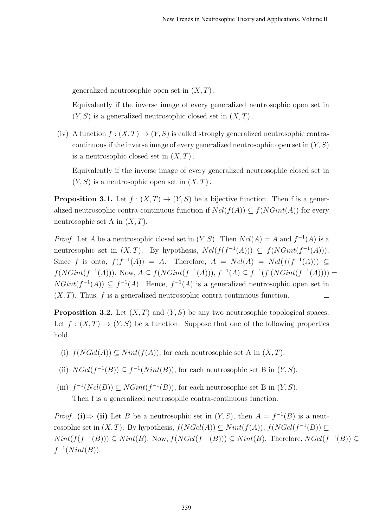generalized neutrosophic open set in  $(X, T)$ .

Equivalently if the inverse image of every generalized neutrosophic open set in  $(Y, S)$  is a generalized neutrosophic closed set in  $(X, T)$ .

(iv) A function  $f:(X,T) \to (Y,S)$  is called strongly generalized neutrosophic contracontinuous if the inverse image of every generalized neutrosophic open set in  $(Y, S)$ is a neutrosophic closed set in  $(X, T)$ .

Equivalently if the inverse image of every generalized neutrosophic closed set in  $(Y, S)$  is a neutrosophic open set in  $(X, T)$ .

**Proposition 3.1.** Let  $f : (X,T) \to (Y,S)$  be a bijective function. Then f is a generalized neutrosophic contra-continuous function if  $Ncl(f(A)) \subseteq f(NGint(A))$  for every neutrosophic set A in  $(X, T)$ .

*Proof.* Let A be a neutrosophic closed set in  $(Y, S)$ . Then  $Ncl(A) = A$  and  $f^{-1}(A)$  is a neutrosophic set in  $(X, T)$ . By hypothesis,  $Ncl(f(f^{-1}(A))) \subseteq f(NGint(f^{-1}(A)))$ . Since f is onto,  $f(f^{-1}(A)) = A$ . Therefore,  $A = Ncl(A) = Ncl(f(f^{-1}(A))) \subseteq$  $f(NGint(f^{-1}(A)))$ . Now,  $A \subseteq f(NGint(f^{-1}(A))), f^{-1}(A) \subseteq f^{-1}(f (NGint(f^{-1}(A))))$  $NGint(f^{-1}(A)) \subseteq f^{-1}(A)$ . Hence,  $f^{-1}(A)$  is a generalized neutrosophic open set in  $(X, T)$ . Thus, f is a generalized neutrosophic contra-continuous function.  $\Box$ 

**Proposition 3.2.** Let  $(X, T)$  and  $(Y, S)$  be any two neutrosophic topological spaces. Let  $f: (X,T) \to (Y,S)$  be a function. Suppose that one of the following properties hold.

- (i)  $f(NGcl(A)) \subseteq Nint(f(A))$ , for each neutrosophic set A in  $(X, T)$ .
- (ii)  $NGcl(f^{-1}(B)) \subseteq f^{-1}(Nint(B)),$  for each neutrosophic set B in  $(Y, S)$ .
- (iii)  $f^{-1}(Ncl(B)) \subseteq NGint(f^{-1}(B))$ , for each neutrosophic set B in  $(Y, S)$ . Then f is a generalized neutrosophic contra-continuous function.

*Proof.* (i)  $\Rightarrow$  (ii) Let B be a neutrosophic set in  $(Y, S)$ , then  $A = f^{-1}(B)$  is a neutrosophic set in  $(X, T)$ . By hypothesis,  $f(NGcl(A)) \subseteq Nint(f(A)), f(NGcl(f^{-1}(B)) \subseteq$  $Nint(f(f^{-1}(B)))\subseteq Nint(B)$ . Now,  $f(NGcl(f^{-1}(B)))\subseteq Nint(B)$ . Therefore,  $NGcl(f^{-1}(B))\subseteq$  $f^{-1}(Nint(B)).$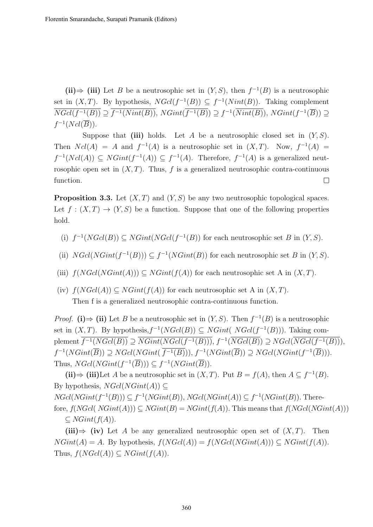(ii)  $\Rightarrow$  (iii) Let B be a neutrosophic set in  $(Y, S)$ , then  $f^{-1}(B)$  is a neutrosophic set in  $(X, T)$ . By hypothesis,  $N\text{Gcl}(f^{-1}(B)) \subseteq f^{-1}(Nint(B))$ . Taking complement  $\overline{NGcl(f^{-1}(B))} \supseteq \overline{f^{-1}(Nint(B))}$ ,  $NGint(\overline{f^{-1}(B)}) \supseteq f^{-1}(\overline{Nint(B)})$ ,  $NGint(f^{-1}(\overline{B})) \supseteq$  $f^{-1}(Ncl(\overline{B})).$ 

Suppose that (iii) holds. Let A be a neutrosophic closed set in  $(Y, S)$ . Then  $Ncl(A) = A$  and  $f^{-1}(A)$  is a neutrosophic set in  $(X, T)$ . Now,  $f^{-1}(A) =$  $f^{-1}(Ncl(A)) \subseteq NGint(f^{-1}(A)) \subseteq f^{-1}(A)$ . Therefore,  $f^{-1}(A)$  is a generalized neutrosophic open set in  $(X, T)$ . Thus, f is a generalized neutrosophic contra-continuous function.  $\Box$ 

**Proposition 3.3.** Let  $(X, T)$  and  $(Y, S)$  be any two neutrosophic topological spaces. Let  $f : (X,T) \to (Y,S)$  be a function. Suppose that one of the following properties hold.

- (i)  $f^{-1}(NGcl(B)) \subseteq NGint(NGcl(f^{-1}(B))$  for each neutrosophic set B in  $(Y, S)$ .
- (ii)  $NGcl(NGint(f^{-1}(B))) \subseteq f^{-1}(NGint(B))$  for each neutrosophic set B in  $(Y, S)$ .
- (iii)  $f(NGcl(NGint(A))) \subseteq NGint(f(A))$  for each neutrosophic set A in  $(X, T)$ .
- (iv)  $f(NGcl(A)) \subseteq NGint(f(A))$  for each neutrosophic set A in  $(X, T)$ . Then f is a generalized neutrosophic contra-continuous function.

*Proof.* (i)  $\Rightarrow$  (ii) Let B be a neutrosophic set in  $(Y, S)$ . Then  $f^{-1}(B)$  is a neutrosophic set in  $(X, T)$ . By hypothesis,  $f^{-1}(NGcl(B)) \subseteq NGint( NGcl(f^{-1}(B)))$ . Taking complement  $\overline{f^{-1}(NGcl(B))} \supseteq \overline{NGint(NGcl(f^{-1}(B)))}$ ,  $f^{-1}(\overline{NGcl(B)}) \supseteq NGal(\overline{NGcl(f^{-1}(B))})$ ,  $f^{-1}(NGint(\overline{B})) \supseteq NGcl(NGint(\overline{f^{-1}(B)})), f^{-1}(NGint(\overline{B})) \supseteq NGcl(NGint(f^{-1}(\overline{B}))).$ Thus,  $NGcl(NGint(f^{-1}(\overline{B}))) \subseteq f^{-1}(NGint(\overline{B})).$ 

(ii)  $\Rightarrow$  (iii)Let A be a neutrosophic set in  $(X, T)$ . Put  $B = f(A)$ , then  $A \subseteq f^{-1}(B)$ . By hypothesis,  $NGcl(NGint(A)) \subseteq$  $NGcl(NGint(f^{-1}(B))) \subseteq f^{-1}(NGint(B)), NGcl(NGint(A)) \subseteq f^{-1}(NGint(B)).$  Therefore,  $f(NGcl(NGint(A))) \subseteq NGint(B) = NGint(f(A)).$  This means that  $f(NGcl(NGint(A)))$  $\subseteq$  *NGint*( $f(A)$ ).

(iii) $\Rightarrow$  (iv) Let A be any generalized neutrosophic open set of  $(X, T)$ . Then  $NGint(A) = A$ . By hypothesis,  $f(NGcl(A)) = f(NGcl(NGint(A))) \subseteq NGint(f(A)).$ Thus,  $f(NGcl(A)) \subseteq NGint(f(A)).$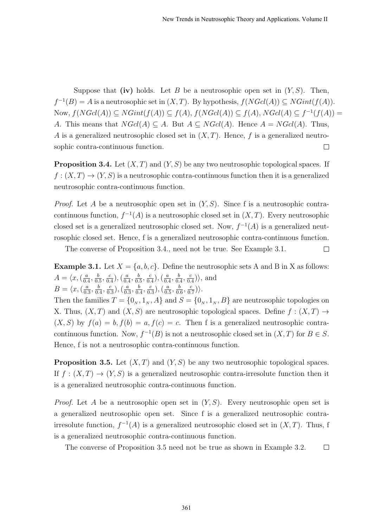Suppose that (iv) holds. Let B be a neutrosophic open set in  $(Y, S)$ . Then,  $f^{-1}(B) = A$  is a neutrosophic set in  $(X, T)$ . By hypothesis,  $f(NGcl(A)) \subseteq NGint(f(A))$ . Now,  $f(NGcl(A)) \subseteq NGint(f(A)) \subseteq f(A), f(NGcl(A)) \subseteq f(A), NGcl(A) \subseteq f^{-1}(f(A))$ A. This means that  $NGL(A) \subseteq A$ . But  $A \subseteq NGL(A)$ . Hence  $A = NGL(A)$ . Thus, A is a generalized neutrosophic closed set in  $(X, T)$ . Hence, f is a generalized neutrosophic contra-continuous function.  $\Box$ 

**Proposition 3.4.** Let  $(X, T)$  and  $(Y, S)$  be any two neutrosophic topological spaces. If  $f: (X,T) \to (Y,S)$  is a neutrosophic contra-continuous function then it is a generalized neutrosophic contra-continuous function.

*Proof.* Let A be a neutrosophic open set in  $(Y, S)$ . Since f is a neutrosophic contracontinuous function,  $f^{-1}(A)$  is a neutrosophic closed set in  $(X, T)$ . Every neutrosophic closed set is a generalized neutrosophic closed set. Now,  $f^{-1}(A)$  is a generalized neutrosophic closed set. Hence, f is a generalized neutrosophic contra-continuous function.

The converse of Proposition 3.4., need not be true. See Example 3.1.  $\Box$ 

**Example 3.1.** Let  $X = \{a, b, c\}$ . Define the neutrosophic sets A and B in X as follows:  $A = \langle x, (\frac{a}{a}\rangle)$  $\frac{a}{0.4}, \frac{b}{0.}$  $\frac{b}{0.5}, \frac{c}{0.}$  $\frac{c}{0.4}$ ),  $\left(\frac{a}{0.4}\right)$  $\frac{a}{0.4}, \frac{b}{0.}$  $\frac{b}{0.5}, \frac{c}{0.}$  $\frac{c}{0.4}$ ),  $\left(\frac{a}{0.4}\right)$  $\frac{a}{0.4}, \frac{b}{0.}$  $\frac{b}{0.4}, \frac{c}{0.}$  $\frac{c}{0.4}$  $\rangle$ , and  $B = \langle x, (\frac{a}{a}) \rangle$  $\frac{a}{0.3}, \frac{b}{0.}$  $\frac{b}{0.4}, \frac{c}{0.}$  $\frac{c}{0.3}$ ),  $\left(\frac{a}{0.3}\right)$  $\frac{a}{0.3}, \frac{b}{0.}$  $\frac{b}{0.4}, \frac{c}{0.}$  $\left(\frac{c}{0.3}\right), \left(\frac{a}{0.3}\right)$  $\frac{a}{0.5}, \frac{b}{0.}$  $\frac{b}{0.6}, \frac{c}{0.}$  $\frac{c}{0.7})\rangle$  .

Then the families  $T = \{0_N, 1_N, A\}$  and  $S = \{0_N, 1_N, B\}$  are neutrosophic topologies on X. Thus,  $(X, T)$  and  $(X, S)$  are neutrosophic topological spaces. Define  $f : (X, T) \rightarrow$  $(X, S)$  by  $f(a) = b, f(b) = a, f(c) = c$ . Then f is a generalized neutrosophic contracontinuous function. Now,  $f^{-1}(B)$  is not a neutrosophic closed set in  $(X,T)$  for  $B \in S$ . Hence, f is not a neutrosophic contra-continuous function.

**Proposition 3.5.** Let  $(X, T)$  and  $(Y, S)$  be any two neutrosophic topological spaces. If  $f : (X,T) \to (Y,S)$  is a generalized neutrosophic contra-irresolute function then it is a generalized neutrosophic contra-continuous function.

*Proof.* Let A be a neutrosophic open set in  $(Y, S)$ . Every neutrosophic open set is a generalized neutrosophic open set. Since f is a generalized neutrosophic contrairresolute function,  $f^{-1}(A)$  is a generalized neutrosophic closed set in  $(X, T)$ . Thus, f is a generalized neutrosophic contra-continuous function.

The converse of Proposition 3.5 need not be true as shown in Example 3.2.  $\Box$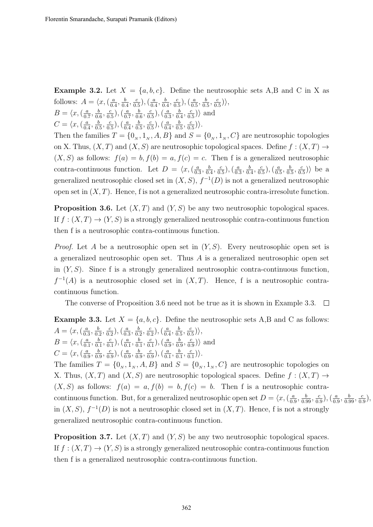**Example 3.2.** Let  $X = \{a, b, c\}$ . Define the neutrosophic sets A,B and C in X as follows:  $A = \langle x, (\frac{a}{a}) \rangle$  $\frac{a}{0.4}, \frac{b}{0.}$  $\frac{b}{0.4}, \frac{c}{0.}$  $\frac{c}{0.5}$ ),  $\left(\frac{a}{0.5}\right)$  $\frac{a}{0.4}, \frac{b}{0.}$  $\frac{b}{0.4}, \frac{c}{0.}$  $\left(\frac{c}{0.5}\right), \left(\frac{a}{0.5}\right)$  $\frac{a}{0.5}, \frac{b}{0.}$  $\frac{b}{0.5}, \frac{c}{0.}$  $\frac{c}{0.5})\rangle,$  $B = \langle x, (\frac{a}{0}) \rangle$  $\frac{a}{0.7}, \frac{b}{0.}$  $\frac{b}{0.6}, \frac{c}{0.}$  $\frac{c}{0.5}$ ),  $\left(\frac{a}{0.5}\right)$  $\frac{a}{0.7}, \frac{b}{0.}$  $\frac{b}{0.6}, \frac{c}{0.}$  $\frac{c}{0.5}$ ),  $\left(\frac{a}{0.5}\right)$  $\frac{a}{0.3}, \frac{b}{0.}$  $\frac{b}{0.4}, \frac{c}{0.}$  $\frac{c}{0.5}$  $\rangle$  and  $C = \langle x, (\frac{a}{0}$  $\frac{a}{0.4}, \frac{b}{0.}$  $\frac{b}{0.5}, \frac{c}{0.}$  $(\frac{c}{0.5}),(\frac{a}{0.5})$  $\frac{a}{0.4}, \frac{b}{0.}$  $\frac{b}{0.5}, \frac{c}{0.}$  $(\frac{c}{0.5}),(\frac{a}{0.5})$  $\frac{a}{0.4}, \frac{b}{0.}$  $\frac{b}{0.5}, \frac{c}{0.}$  $\frac{c}{0.5})\rangle.$ 

Then the families  $T = \{0_N, 1_N, A, B\}$  and  $S = \{0_N, 1_N, C\}$  are neutrosophic topologies on X. Thus,  $(X, T)$  and  $(X, S)$  are neutrosophic topological spaces. Define  $f : (X, T) \rightarrow$  $(X, S)$  as follows:  $f(a) = b, f(b) = a, f(c) = c$ . Then f is a generalized neutrosophic contra-continuous function. Let  $D = \langle x, (\frac{a}{\alpha}) \rangle$  $\frac{a}{0.3}, \frac{b}{0.}$  $\frac{b}{0.4}, \frac{c}{0.}$  $\frac{c}{0.5}$ ),  $\left(\frac{a}{0.5}\right)$  $\frac{a}{0.3}, \frac{b}{0.}$  $\frac{b}{0.4}, \frac{c}{0.}$  $\left(\frac{c}{0.5}\right), \left(\frac{a}{0.5}\right)$  $\frac{a}{0.5}, \frac{b}{0.}$  $\frac{b}{0.5}, \frac{c}{0.5}$  $\frac{c}{0.5}$ ) be a generalized neutrosophic closed set in  $(X, S)$ ,  $f^{-1}(D)$  is not a generalized neutrosophic open set in  $(X, T)$ . Hence, f is not a generalized neutrosophic contra-irresolute function.

**Proposition 3.6.** Let  $(X, T)$  and  $(Y, S)$  be any two neutrosophic topological spaces. If  $f : (X,T) \to (Y,S)$  is a strongly generalized neutrosophic contra-continuous function then f is a neutrosophic contra-continuous function.

*Proof.* Let A be a neutrosophic open set in  $(Y, S)$ . Every neutrosophic open set is a generalized neutrosophic open set. Thus  $A$  is a generalized neutrosophic open set in  $(Y, S)$ . Since f is a strongly generalized neutrosophic contra-continuous function,  $f^{-1}(A)$  is a neutrosophic closed set in  $(X,T)$ . Hence, f is a neutrosophic contracontinuous function.

The converse of Proposition 3.6 need not be true as it is shown in Example 3.3.  $\Box$ 

**Example 3.3.** Let  $X = \{a, b, c\}$ . Define the neutrosophic sets A,B and C as follows:  $A = \langle x, (\frac{a}{a}\rangle)$  $\frac{a}{0.3}, \frac{b}{0.}$  $\frac{b}{0.2}, \frac{c}{0.}$  $\frac{c}{0.2}$ ),  $\left(\frac{a}{0.2}\right)$  $\frac{a}{0.3}, \frac{b}{0.}$  $\frac{b}{0.2}, \frac{c}{0.}$  $\frac{c}{0.2}$ ),  $\left(\frac{a}{0.2}\right)$  $\frac{a}{0.4}, \frac{b}{0.}$  $\frac{b}{0.5}, \frac{c}{0.}$  $\frac{c}{0.5})\rangle,$  $B = \langle x, (\frac{a}{a}) \rangle$  $\frac{a}{0.1}, \frac{b}{0.}$  $\frac{b}{0.1}, \frac{c}{0.}$  $\frac{c}{0.1}$ ),  $\left(\frac{a}{0.1}\right)$  $\frac{a}{0.1}, \frac{b}{0.}$  $\frac{b}{0.1}, \frac{c}{0.}$  $\frac{c}{0.1}$ ),  $\left(\frac{a}{0.1}\right)$  $\frac{a}{0.9}, \frac{b}{0.}$  $\frac{b}{0.9}, \frac{c}{0.}$  $\frac{c}{0.9}$  $\rangle$  and  $C = \langle x, \left( \frac{a}{0} \right) \rangle$  $\frac{a}{0.9}, \frac{b}{0.}$  $\frac{b}{0.9}, \frac{c}{0.9}$  $(\frac{c}{0.9}),(\frac{a}{0.9})$  $\frac{a}{0.9}, \frac{b}{0.}$  $\frac{b}{0.9}, \frac{c}{0.}$  $\left(\frac{c}{0.9}\right), \left(\frac{a}{0.9}\right)$  $\frac{a}{0.1}, \frac{b}{0.}$  $\frac{b}{0.1}, \frac{c}{0.}$  $\frac{c}{0.1})\rangle.$ 

The families  $T = \{0_N, 1_N, A, B\}$  and  $S = \{0_N, 1_N, C\}$  are neutrosophic topologies on X. Thus,  $(X, T)$  and  $(X, S)$  are neutrosophic topological spaces. Define  $f : (X, T) \rightarrow$  $(X, S)$  as follows:  $f(a) = a, f(b) = b, f(c) = b$ . Then f is a neutrosophic contracontinuous function. But, for a generalized neutrosophic open set  $D = \langle x, \langle \frac{a}{\alpha} \rangle$  $\frac{a}{0.9}, \frac{b}{0.99}, \frac{c}{0.}$  $\left(\frac{c}{0.9}\right), \left(\frac{a}{0.9}\right)$  $\frac{a}{0.9}, \frac{b}{0.99}, \frac{c}{0.}$  $\frac{c}{0.9}$ , in  $(X, S)$ ,  $f^{-1}(D)$  is not a neutrosophic closed set in  $(X, T)$ . Hence, f is not a strongly generalized neutrosophic contra-continuous function.

**Proposition 3.7.** Let  $(X, T)$  and  $(Y, S)$  be any two neutrosophic topological spaces. If  $f : (X,T) \to (Y,S)$  is a strongly generalized neutrosophic contra-continuous function then f is a generalized neutrosophic contra-continuous function.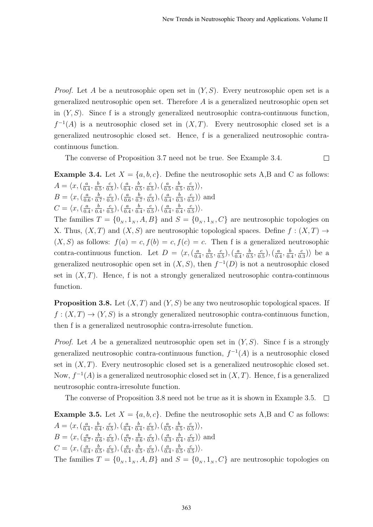*Proof.* Let A be a neutrosophic open set in  $(Y, S)$ . Every neutrosophic open set is a generalized neutrosophic open set. Therefore A is a generalized neutrosophic open set in  $(Y, S)$ . Since f is a strongly generalized neutrosophic contra-continuous function,  $f^{-1}(A)$  is a neutrosophic closed set in  $(X,T)$ . Every neutrosophic closed set is a generalized neutrosophic closed set. Hence, f is a generalized neutrosophic contracontinuous function.

The converse of Proposition 3.7 need not be true. See Example 3.4.  $\Box$ 

**Example 3.4.** Let  $X = \{a, b, c\}$ . Define the neutrosophic sets A,B and C as follows:  $A = \langle x, (\frac{a}{a}\rangle)$  $\frac{a}{0.4}, \frac{b}{0.}$  $\frac{b}{0.5}, \frac{c}{0.}$  $\frac{c}{0.5}$ ),  $\left(\frac{a}{0.5}\right)$  $\frac{a}{0.4}, \frac{b}{0.}$  $\frac{b}{0.5}, \frac{c}{0.}$  $\frac{c}{0.5}$ ),  $\left(\frac{a}{0.5}\right)$  $\frac{a}{0.5}, \frac{b}{0.}$  $\frac{b}{0.5}, \frac{c}{0.}$  $\frac{c}{0.5})\rangle,$  $B = \langle x, (\frac{a}{0)}\rangle$  $\frac{a}{0.6}, \frac{b}{0.}$  $\frac{b}{0.7}, \frac{c}{0.}$  $(\frac{c}{0.5}),(\frac{a}{0.5})$  $\frac{a}{0.6}, \frac{b}{0.}$  $\frac{b}{0.7}, \frac{c}{0.}$  $\frac{c}{0.5}$ ),  $\left(\frac{a}{0.5}\right)$  $\frac{a}{0.4}, \frac{b}{0.}$  $\frac{b}{0.3}, \frac{c}{0.}$  $\frac{c}{0.5}$  $\rangle$  and  $C = \langle x, (\frac{a}{0}$  $\frac{a}{0.4}, \frac{b}{0.}$  $\frac{b}{0.4}, \frac{c}{0.}$  $\frac{c}{0.5}$ ),  $\left(\frac{a}{0.5}\right)$  $\frac{a}{0.4}, \frac{b}{0.}$  $\frac{b}{0.4}, \frac{c}{0.}$  $\frac{c}{0.5}$ ),  $\left(\frac{a}{0.5}\right)$  $\frac{a}{0.4}, \frac{b}{0.}$  $\frac{b}{0.4}, \frac{c}{0.}$  $\frac{c}{0.5})\rangle.$ The families  $T = \{0_N, 1_N, A, B\}$  and  $S = \{0_N, 1_N, C\}$  are neutrosophic topologies on X. Thus,  $(X, T)$  and  $(X, S)$  are neutrosophic topological spaces. Define  $f : (X, T) \rightarrow$  $(X, S)$  as follows:  $f(a) = c, f(b) = c, f(c) = c$ . Then f is a generalized neutrosophic contra-continuous function. Let  $D = \langle x, \langle \frac{a}{b} \rangle \rangle$  $\frac{a}{0.4}, \frac{b}{0.}$  $\frac{b}{0.5}, \frac{c}{0.}$  $\frac{c}{0.5}$ ),  $\left(\frac{a}{0.5}\right)$  $\frac{a}{0.4}, \frac{b}{0.}$  $\frac{b}{0.5}, \frac{c}{0.}$  $\left(\frac{c}{0.5}\right), \left(\frac{a}{0.5}\right)$  $\frac{a}{0.4}, \frac{b}{0.}$  $\frac{b}{0.4}, \frac{c}{0.}$  $\frac{c}{0.3}$ ) be a generalized neutrosophic open set in  $(X, S)$ , then  $f^{-1}(D)$  is not a neutrosophic closed set in  $(X, T)$ . Hence, f is not a strongly generalized neutrosophic contra-continuous function.

**Proposition 3.8.** Let  $(X, T)$  and  $(Y, S)$  be any two neutrosophic topological spaces. If  $f: (X,T) \to (Y,S)$  is a strongly generalized neutrosophic contra-continuous function, then f is a generalized neutrosophic contra-irresolute function.

*Proof.* Let A be a generalized neutrosophic open set in  $(Y, S)$ . Since f is a strongly generalized neutrosophic contra-continuous function,  $f^{-1}(A)$  is a neutrosophic closed set in  $(X, T)$ . Every neutrosophic closed set is a generalized neutrosophic closed set. Now,  $f^{-1}(A)$  is a generalized neutrosophic closed set in  $(X, T)$ . Hence, f is a generalized neutrosophic contra-irresolute function.

The converse of Proposition 3.8 need not be true as it is shown in Example 3.5.  $\Box$ 

**Example 3.5.** Let  $X = \{a, b, c\}$ . Define the neutrosophic sets A,B and C as follows:  $A = \langle x, (\frac{a}{a}\rangle)$  $\frac{a}{0.4}, \frac{b}{0.}$  $\frac{b}{0.4}, \frac{c}{0.}$  $\frac{c}{0.5}$ ),  $\left(\frac{a}{0.5}\right)$  $\frac{a}{0.4}, \frac{b}{0.}$  $\frac{b}{0.4}, \frac{c}{0.}$  $\frac{c}{0.5}$ ),  $\left(\frac{a}{0.5}\right)$  $\frac{a}{0.5}, \frac{b}{0.}$  $\frac{b}{0.5}, \frac{c}{0.}$  $\frac{c}{0.5})\rangle,$  $B = \langle x, (\frac{a}{0}) \rangle$  $\frac{a}{0.7}, \frac{b}{0.}$  $\frac{b}{0.6}, \frac{c}{0.}$  $\frac{c}{0.5}$ ),  $\left(\frac{a}{0.5}\right)$  $\frac{a}{0.7}, \frac{b}{0.}$  $\frac{b}{0.6}, \frac{c}{0.}$  $\frac{c}{0.5}$ ),  $\left(\frac{a}{0.5}\right)$  $\frac{a}{0.3}, \frac{b}{0.}$  $\frac{b}{0.4}, \frac{c}{0.}$  $\frac{c}{0.5}$  $\rangle$  and  $C = \langle x, (\frac{a}{0}$  $\frac{a}{0.4}, \frac{b}{0.}$  $\frac{b}{0.5}, \frac{c}{0.}$  $\frac{c}{0.5}$ ),  $\left(\frac{a}{0.5}\right)$  $\frac{a}{0.4}, \frac{b}{0.}$  $\frac{b}{0.5}, \frac{c}{0.}$  $(\frac{c}{0.5}),(\frac{a}{0.5})$  $\frac{a}{0.4}, \frac{b}{0.}$  $\frac{b}{0.5}, \frac{c}{0.}$  $\frac{c}{0.5})\rangle.$ The families  $T = \{0_N, 1_N, A, B\}$  and  $S = \{0_N, 1_N, C\}$  are neutrosophic topologies on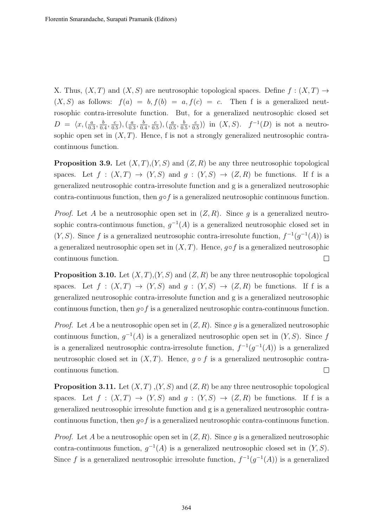X. Thus,  $(X, T)$  and  $(X, S)$  are neutrosophic topological spaces. Define  $f : (X, T) \rightarrow$  $(X, S)$  as follows:  $f(a) = b, f(b) = a, f(c) = c$ . Then f is a generalized neutrosophic contra-irresolute function. But, for a generalized neutrosophic closed set  $D = \langle x, (\frac{a}{0})\rangle$  $\frac{a}{0.3}, \frac{b}{0.}$  $\frac{b}{0.4}, \frac{c}{0.}$  $(\frac{c}{0.5}),(\frac{a}{0.5})$  $\frac{a}{0.3}, \frac{b}{0.}$  $\frac{b}{0.4}, \frac{c}{0.}$  $\frac{c}{0.5}$ ),  $\left(\frac{a}{0.5}\right)$  $\frac{a}{0.5}, \frac{b}{0.}$  $\frac{b}{0.5}, \frac{c}{0.}$  $\frac{c}{0.5}$ ) in  $(X, S)$ .  $f^{-1}(D)$  is not a neutrosophic open set in  $(X, T)$ . Hence, f is not a strongly generalized neutrosophic contracontinuous function.

**Proposition 3.9.** Let  $(X, T), (Y, S)$  and  $(Z, R)$  be any three neutrosophic topological spaces. Let  $f : (X,T) \to (Y,S)$  and  $g : (Y,S) \to (Z,R)$  be functions. If f is a generalized neutrosophic contra-irresolute function and g is a generalized neutrosophic contra-continuous function, then  $q \circ f$  is a generalized neutrosophic continuous function.

*Proof.* Let A be a neutrosophic open set in  $(Z, R)$ . Since q is a generalized neutrosophic contra-continuous function,  $g^{-1}(A)$  is a generalized neutrosophic closed set in  $(Y, S)$ . Since f is a generalized neutrosophic contra-irresolute function,  $f^{-1}(g^{-1}(A))$  is a generalized neutrosophic open set in  $(X, T)$ . Hence, g∘f is a generalized neutrosophic continuous function.  $\Box$ 

**Proposition 3.10.** Let  $(X, T), (Y, S)$  and  $(Z, R)$  be any three neutrosophic topological spaces. Let  $f : (X,T) \to (Y,S)$  and  $g : (Y,S) \to (Z,R)$  be functions. If f is a generalized neutrosophic contra-irresolute function and g is a generalized neutrosophic continuous function, then  $q \circ f$  is a generalized neutrosophic contra-continuous function.

*Proof.* Let A be a neutrosophic open set in  $(Z, R)$ . Since q is a generalized neutrosophic continuous function,  $g^{-1}(A)$  is a generalized neutrosophic open set in  $(Y, S)$ . Since f is a generalized neutrosophic contra-irresolute function,  $f^{-1}(g^{-1}(A))$  is a generalized neutrosophic closed set in  $(X, T)$ . Hence,  $g \circ f$  is a generalized neutrosophic contracontinuous function.  $\Box$ 

**Proposition 3.11.** Let  $(X, T), (Y, S)$  and  $(Z, R)$  be any three neutrosophic topological spaces. Let  $f : (X,T) \to (Y,S)$  and  $g : (Y,S) \to (Z,R)$  be functions. If f is a generalized neutrosophic irresolute function and g is a generalized neutrosophic contracontinuous function, then  $g \circ f$  is a generalized neutrosophic contra-continuous function.

*Proof.* Let A be a neutrosophic open set in  $(Z, R)$ . Since q is a generalized neutrosophic contra-continuous function,  $g^{-1}(A)$  is a generalized neutrosophic closed set in  $(Y, S)$ . Since f is a generalized neutrosophic irresolute function,  $f^{-1}(g^{-1}(A))$  is a generalized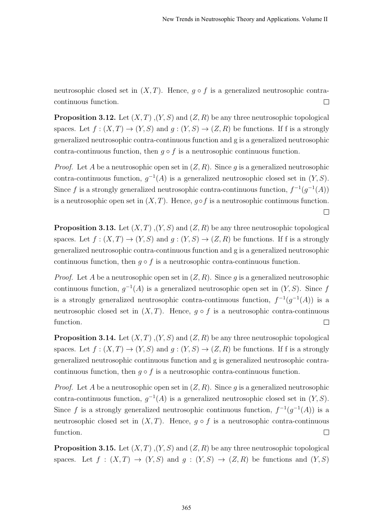neutrosophic closed set in  $(X, T)$ . Hence,  $q \circ f$  is a generalized neutrosophic contracontinuous function.  $\Box$ 

**Proposition 3.12.** Let  $(X, T), (Y, S)$  and  $(Z, R)$  be any three neutrosophic topological spaces. Let  $f:(X,T)\to (Y,S)$  and  $g:(Y,S)\to (Z,R)$  be functions. If f is a strongly generalized neutrosophic contra-continuous function and g is a generalized neutrosophic contra-continuous function, then  $g \circ f$  is a neutrosophic continuous function.

*Proof.* Let A be a neutrosophic open set in  $(Z, R)$ . Since g is a generalized neutrosophic contra-continuous function,  $g^{-1}(A)$  is a generalized neutrosophic closed set in  $(Y, S)$ . Since f is a strongly generalized neutrosophic contra-continuous function,  $f^{-1}(g^{-1}(A))$ is a neutrosophic open set in  $(X, T)$ . Hence,  $g \circ f$  is a neutrosophic continuous function.  $\Box$ 

**Proposition 3.13.** Let  $(X, T), (Y, S)$  and  $(Z, R)$  be any three neutrosophic topological spaces. Let  $f:(X,T)\to (Y,S)$  and  $g:(Y,S)\to (Z,R)$  be functions. If f is a strongly generalized neutrosophic contra-continuous function and g is a generalized neutrosophic continuous function, then  $g \circ f$  is a neutrosophic contra-continuous function.

*Proof.* Let A be a neutrosophic open set in  $(Z, R)$ . Since q is a generalized neutrosophic continuous function,  $g^{-1}(A)$  is a generalized neutrosophic open set in  $(Y, S)$ . Since f is a strongly generalized neutrosophic contra-continuous function,  $f^{-1}(g^{-1}(A))$  is a neutrosophic closed set in  $(X, T)$ . Hence,  $g \circ f$  is a neutrosophic contra-continuous function.  $\Box$ 

**Proposition 3.14.** Let  $(X, T)$ ,  $(Y, S)$  and  $(Z, R)$  be any three neutrosophic topological spaces. Let  $f:(X,T) \to (Y,S)$  and  $g:(Y,S) \to (Z,R)$  be functions. If f is a strongly generalized neutrosophic continuous function and g is generalized neutrosophic contracontinuous function, then  $q \circ f$  is a neutrosophic contra-continuous function.

*Proof.* Let A be a neutrosophic open set in  $(Z, R)$ . Since q is a generalized neutrosophic contra-continuous function,  $g^{-1}(A)$  is a generalized neutrosophic closed set in  $(Y, S)$ . Since f is a strongly generalized neutrosophic continuous function,  $f^{-1}(g^{-1}(A))$  is a neutrosophic closed set in  $(X, T)$ . Hence,  $g \circ f$  is a neutrosophic contra-continuous function.  $\Box$ 

**Proposition 3.15.** Let  $(X, T), (Y, S)$  and  $(Z, R)$  be any three neutrosophic topological spaces. Let  $f : (X,T) \to (Y,S)$  and  $g : (Y,S) \to (Z,R)$  be functions and  $(Y,S)$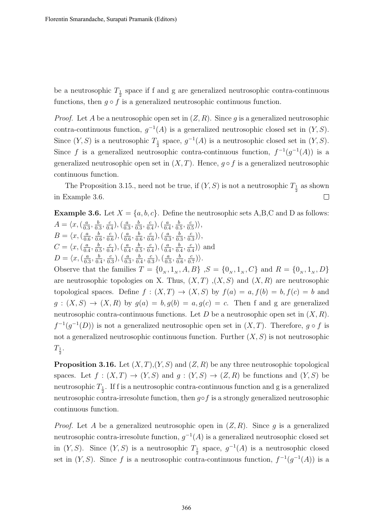be a neutrosophic  $T_{\frac{1}{2}}$  space if f and g are generalized neutrosophic contra-continuous functions, then  $g \circ f$  is a generalized neutrosophic continuous function.

*Proof.* Let A be a neutrosophic open set in  $(Z, R)$ . Since g is a generalized neutrosophic contra-continuous function,  $g^{-1}(A)$  is a generalized neutrosophic closed set in  $(Y, S)$ . Since  $(Y, S)$  is a neutrosophic  $T_{\frac{1}{2}}$  space,  $g^{-1}(A)$  is a neutrosophic closed set in  $(Y, S)$ . Since f is a generalized neutrosophic contra-continuous function,  $f^{-1}(g^{-1}(A))$  is a generalized neutrosophic open set in  $(X, T)$ . Hence,  $q \circ f$  is a generalized neutrosophic continuous function.

The Proposition 3.15., need not be true, if  $(Y, S)$  is not a neutrosophic  $T_{\frac{1}{2}}$  as shown in Example 3.6.  $\Box$ 

**Example 3.6.** Let  $X = \{a, b, c\}$ . Define the neutrosophic sets A,B,C and D as follows:  $A = \langle x, \left( \frac{a}{0} \right) \rangle$  $\frac{a}{0.3}, \frac{b}{0.}$  $\frac{b}{0.3}, \frac{c}{0.}$  $\frac{c}{0.4}$ ),  $\left(\frac{a}{0.3}\right)$  $\frac{a}{0.3}, \frac{b}{0.}$  $\frac{b}{0.3}, \frac{c}{0.}$  $\frac{c}{0.4}$ ),  $\left(\frac{a}{0.4}\right)$  $\frac{a}{0.4}, \frac{b}{0.}$  $\frac{b}{0.5}, \frac{c}{0.}$  $\frac{c}{0.5})\rangle,$  $B = \langle x, (\frac{a}{0)}\rangle$  $\frac{a}{0.6}, \frac{b}{0.}$  $\frac{b}{0.6}, \frac{c}{0.}$  $(\frac{c}{0.6})$ ,  $(\frac{a}{0.6})$  $\frac{a}{0.6}, \frac{b}{0.}$  $\frac{b}{0.6}, \frac{c}{0.}$  $(\frac{c}{0.6}),(\frac{a}{0.6})$  $\frac{a}{0.3}, \frac{b}{0.}$  $\frac{b}{0.3}, \frac{c}{0.}$  $\frac{c}{0.3})\rangle,$  $C = \langle x, (\frac{a}{a}\rangle)$  $\frac{a}{0.4}, \frac{b}{0.}$  $\frac{b}{0.5}, \frac{c}{0.5}$  $\frac{c}{0.4}$ ),  $\left(\frac{a}{0.4}\right)$  $\frac{a}{0.4}, \frac{b}{0.}$  $\frac{b}{0.5}, \frac{c}{0.}$  $\frac{c}{0.4}$ ),  $\left(\frac{a}{0.4}\right)$  $\frac{a}{0.4}, \frac{b}{0.}$  $\frac{b}{0.4}, \frac{c}{0.}$  $\frac{c}{0.4}$  $\rangle$  and  $D = \langle x, (\frac{a}{a})\rangle$  $\frac{a}{0.3}, \frac{b}{0.}$  $\frac{b}{0.4}, \frac{c}{0.}$  $\left(\frac{c}{0.3}\right), \left(\frac{a}{0.3}\right)$  $\frac{a}{0.3}, \frac{b}{0.}$  $\frac{b}{0.4}, \frac{c}{0.}$  $\left(\frac{c}{0.3}\right), \left(\frac{a}{0.3}\right)$  $\frac{a}{0.5}, \frac{b}{0.}$  $\frac{b}{0.6}, \frac{c}{0.}$  $\frac{c}{0.7})\rangle.$ Observe that the families  $T = \{0_N, 1_N, A, B\}$ ,  $S = \{0_N, 1_N, C\}$  and  $R = \{0_N, 1_N, D\}$ are neutrosophic topologies on X. Thus,  $(X, T)$ ,  $(X, S)$  and  $(X, R)$  are neutrosophic

topological spaces. Define  $f : (X,T) \to (X,S)$  by  $f(a) = a, f(b) = b, f(c) = b$  and  $g:(X, S) \to (X, R)$  by  $g(a) = b, g(b) = a, g(c) = c$ . Then f and g are generalized neutrosophic contra-continuous functions. Let D be a neutrosophic open set in  $(X, R)$ .  $f^{-1}(g^{-1}(D))$  is not a generalized neutrosophic open set in  $(X,T)$ . Therefore,  $g \circ f$  is not a generalized neutrosophic continuous function. Further  $(X, S)$  is not neutrosophic  $T_{\frac{1}{2}}.$ 

**Proposition 3.16.** Let  $(X, T), (Y, S)$  and  $(Z, R)$  be any three neutrosophic topological spaces. Let  $f : (X,T) \to (Y,S)$  and  $g : (Y,S) \to (Z,R)$  be functions and  $(Y,S)$  be neutrosophic  $T_{\frac{1}{2}}$ . If f is a neutrosophic contra-continuous function and g is a generalized neutrosophic contra-irresolute function, then  $g \circ f$  is a strongly generalized neutrosophic continuous function.

*Proof.* Let A be a generalized neutrosophic open in  $(Z, R)$ . Since g is a generalized neutrosophic contra-irresolute function,  $g^{-1}(A)$  is a generalized neutrosophic closed set in  $(Y, S)$ . Since  $(Y, S)$  is a neutrosophic  $T_{\frac{1}{2}}$  space,  $g^{-1}(A)$  is a neutrosophic closed set in  $(Y, S)$ . Since f is a neutrosophic contra-continuous function,  $f^{-1}(g^{-1}(A))$  is a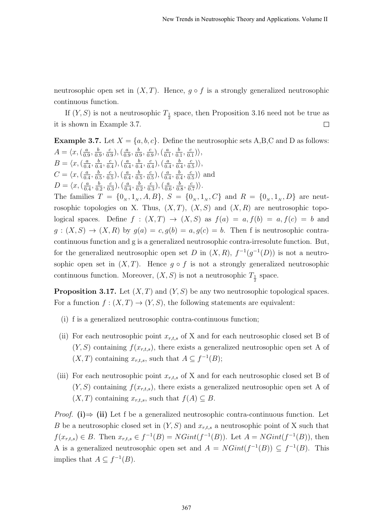neutrosophic open set in  $(X, T)$ . Hence,  $g \circ f$  is a strongly generalized neutrosophic continuous function.

If  $(Y, S)$  is not a neutrosophic  $T_{\frac{1}{2}}$  space, then Proposition 3.16 need not be true as it is shown in Example 3.7.  $\Box$ 

**Example 3.7.** Let  $X = \{a, b, c\}$ . Define the neutrosophic sets A,B,C and D as follows:  $A = \langle x, (\frac{a}{a}\rangle)$  $\frac{a}{0.9}, \frac{b}{0.}$  $\frac{b}{0.9}, \frac{c}{0.}$  $(\frac{c}{0.9}),(\frac{a}{0.9})$  $\frac{a}{0.9}, \frac{b}{0.}$  $\frac{b}{0.9}, \frac{c}{0.}$  $\frac{c}{0.9}$ ),  $\left(\frac{a}{0.9}\right)$  $\frac{a}{0.1}, \frac{b}{0.}$  $\frac{b}{0.1}, \frac{c}{0.}$  $\frac{c}{0.1})\rangle,$  $B = \langle x, (\frac{a}{0} \rangle)$  $\frac{a}{0.4}, \frac{b}{0.}$  $\frac{b}{0.4}, \frac{c}{0.}$  $\frac{c}{0.4}$ ),  $\left(\frac{a}{0.4}\right)$  $\frac{a}{0.4}, \frac{b}{0.}$  $\frac{b}{0.4}, \frac{c}{0.}$  $\frac{c}{0.4}$ ),  $\left(\frac{a}{0.4}\right)$  $\frac{a}{0.4}, \frac{b}{0.}$  $\frac{b}{0.4}, \frac{c}{0.}$  $\frac{c}{0.5})\rangle,$  $C = \langle x, (\frac{a}{a}\rangle)$  $\frac{a}{0.4}, \frac{b}{0.}$  $\frac{b}{0.5}, \frac{c}{0.}$  $(\frac{c}{0.5}),(\frac{a}{0.5})$  $\frac{a}{0.4}, \frac{b}{0.}$  $\frac{b}{0.5}, \frac{c}{0.}$  $(\frac{c}{0.5}),(\frac{a}{0.5})$  $\frac{a}{0.4}, \frac{b}{0.}$  $\frac{b}{0.4}, \frac{c}{0.}$  $\frac{c}{0.5}$  $\rangle$  and  $D = \langle x, (\frac{a}{a})\rangle$  $\frac{a}{0.4}, \frac{b}{0.5}$  $\frac{b}{0.2}, \frac{c}{0.}$  $\left(\frac{c}{0.3}\right), \left(\frac{a}{0.3}\right)$  $\frac{a}{0.4}, \frac{b}{0.}$  $\frac{b}{0.2}, \frac{c}{0.}$  $(\frac{c}{0.3}),(\frac{a}{0.3})$  $\frac{a}{0.6}, \frac{b}{0.}$  $\frac{b}{0.8}, \frac{c}{0.}$  $\frac{c}{0.7})\rangle.$ The families  $T = \{0_N, 1_N, A, B\}, S = \{0_N, 1_N, C\}$  and  $R = \{0_N, 1_N, D\}$  are neutrosophic topologies on X. Thus,  $(X, T)$ ,  $(X, S)$  and  $(X, R)$  are neutrosophic topological spaces. Define  $f : (X,T) \to (X,S)$  as  $f(a) = a, f(b) = a, f(c) = b$  and  $g:(X, S) \to (X, R)$  by  $g(a) = c, g(b) = a, g(c) = b$ . Then f is neutrosophic contracontinuous function and g is a generalized neutrosophic contra-irresolute function. But, for the generalized neutrosophic open set D in  $(X, R)$ ,  $f^{-1}(g^{-1}(D))$  is not a neutrosophic open set in  $(X, T)$ . Hence  $g \circ f$  is not a strongly generalized neutrosophic continuous function. Moreover,  $(X, S)$  is not a neutrosophic  $T_{\frac{1}{2}}$  space.

**Proposition 3.17.** Let  $(X, T)$  and  $(Y, S)$  be any two neutrosophic topological spaces. For a function  $f:(X,T) \to (Y,S)$ , the following statements are equivalent:

- (i) f is a generalized neutrosophic contra-continuous function;
- (ii) For each neutrosophic point  $x_{r,t,s}$  of X and for each neutrosophic closed set B of  $(Y, S)$  containing  $f(x_{r,t,s})$ , there exists a generalized neutrosophic open set A of  $(X, T)$  containing  $x_{r,t,s}$ , such that  $A \subseteq f^{-1}(B)$ ;
- (iii) For each neutrosophic point  $x_{r,t,s}$  of X and for each neutrosophic closed set B of  $(Y, S)$  containing  $f(x_{r,t,s})$ , there exists a generalized neutrosophic open set A of  $(X, T)$  containing  $x_{r,t,s}$ , such that  $f(A) \subseteq B$ .

*Proof.* (i)  $\Rightarrow$  (ii) Let f be a generalized neutrosophic contra-continuous function. Let B be a neutrosophic closed set in  $(Y, S)$  and  $x_{r,t,s}$  a neutrosophic point of X such that  $f(x_{r,t,s}) \in B$ . Then  $x_{r,t,s} \in f^{-1}(B) = NGint(f^{-1}(B))$ . Let  $A = NGint(f^{-1}(B))$ , then A is a generalized neutrosophic open set and  $A = NGint(f^{-1}(B)) \subseteq f^{-1}(B)$ . This implies that  $A \subseteq f^{-1}(B)$ .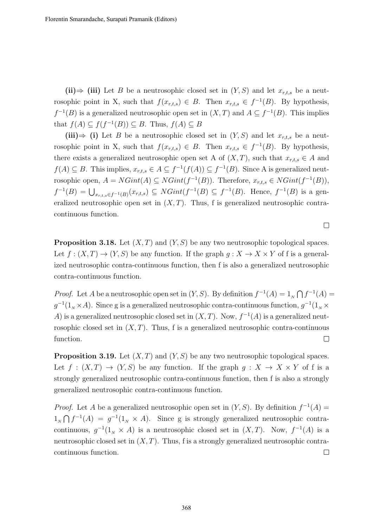(ii)  $\Rightarrow$  (iii) Let B be a neutrosophic closed set in  $(Y, S)$  and let  $x_{r,t,s}$  be a neutrosophic point in X, such that  $f(x_{r,t,s}) \in B$ . Then  $x_{r,t,s} \in f^{-1}(B)$ . By hypothesis,  $f^{-1}(B)$  is a generalized neutrosophic open set in  $(X,T)$  and  $A \subseteq f^{-1}(B)$ . This implies that  $f(A) \subseteq f(f^{-1}(B)) \subseteq B$ . Thus,  $f(A) \subseteq B$ 

(iii)⇒ (i) Let B be a neutrosophic closed set in  $(Y, S)$  and let  $x_{r,t,s}$  be a neutrosophic point in X, such that  $f(x_{r,t,s}) \in B$ . Then  $x_{r,t,s} \in f^{-1}(B)$ . By hypothesis, there exists a generalized neutrosophic open set A of  $(X, T)$ , such that  $x_{r,t,s} \in A$  and  $f(A) \subseteq B$ . This implies,  $x_{r,t,s} \in A \subseteq f^{-1}(f(A)) \subseteq f^{-1}(B)$ . Since A is generalized neutrosophic open,  $A = NGint(A) \subseteq NGint(f^{-1}(B))$ . Therefore,  $x_{r,t,s} \in NGint(f^{-1}(B))$ ,  $f^{-1}(B) = \bigcup_{x_{r,t,s} \in f^{-1}(B)} (x_{r,t,s}) \subseteq NGint(f^{-1}(B) \subseteq f^{-1}(B)$ . Hence,  $f^{-1}(B)$  is a generalized neutrosophic open set in  $(X, T)$ . Thus, f is generalized neutrosophic contracontinuous function.

**Proposition 3.18.** Let  $(X, T)$  and  $(Y, S)$  be any two neutrosophic topological spaces. Let  $f : (X,T) \to (Y,S)$  be any function. If the graph  $g : X \to X \times Y$  of f is a generalized neutrosophic contra-continuous function, then f is also a generalized neutrosophic contra-continuous function.

*Proof.* Let A be a neutrosophic open set in  $(Y, S)$ . By definition  $f^{-1}(A) = 1_N \bigcap f^{-1}(A)$  $g^{-1}(1_{N} \times A)$ . Since g is a generalized neutrosophic contra-continuous function,  $g^{-1}(1_{N} \times A)$ A) is a generalized neutrosophic closed set in  $(X, T)$ . Now,  $f^{-1}(A)$  is a generalized neutrosophic closed set in  $(X, T)$ . Thus, f is a generalized neutrosophic contra-continuous function.  $\Box$ 

**Proposition 3.19.** Let  $(X, T)$  and  $(Y, S)$  be any two neutrosophic topological spaces. Let  $f : (X,T) \to (Y,S)$  be any function. If the graph  $g : X \to X \times Y$  of f is a strongly generalized neutrosophic contra-continuous function, then f is also a strongly generalized neutrosophic contra-continuous function.

*Proof.* Let A be a generalized neutrosophic open set in  $(Y, S)$ . By definition  $f^{-1}(A)$  =  $1_{N} \bigcap f^{-1}(A) = g^{-1}(1_{N} \times A)$ . Since g is strongly generalized neutrosophic contracontinuous,  $g^{-1}(1_{N} \times A)$  is a neutrosophic closed set in  $(X, T)$ . Now,  $f^{-1}(A)$  is a neutrosophic closed set in  $(X, T)$ . Thus, f is a strongly generalized neutrosophic contracontinuous function.  $\Box$ 

368

 $\Box$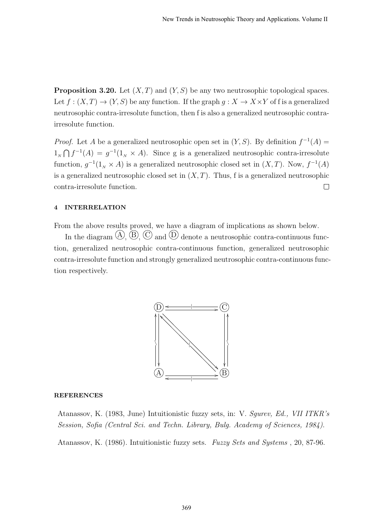**Proposition 3.20.** Let  $(X, T)$  and  $(Y, S)$  be any two neutrosophic topological spaces. Let  $f: (X,T) \to (Y,S)$  be any function. If the graph  $g: X \to X \times Y$  of f is a generalized neutrosophic contra-irresolute function, then f is also a generalized neutrosophic contrairresolute function.

*Proof.* Let A be a generalized neutrosophic open set in  $(Y, S)$ . By definition  $f^{-1}(A)$  =  $1_{N} \bigcap f^{-1}(A) = g^{-1}(1_{N} \times A)$ . Since g is a generalized neutrosophic contra-irresolute function,  $g^{-1}(1_{N} \times A)$  is a generalized neutrosophic closed set in  $(X, T)$ . Now,  $f^{-1}(A)$ is a generalized neutrosophic closed set in  $(X, T)$ . Thus, f is a generalized neutrosophic contra-irresolute function.  $\Box$ 

### 4 INTERRELATION

From the above results proved, we have a diagram of implications as shown below.

In the diagram  $\mathcal{A}, \mathcal{B}, \mathcal{C}$  and  $\mathcal{D}$  denote a neutrosophic contra-continuous function, generalized neutrosophic contra-continuous function, generalized neutrosophic contra-irresolute function and strongly generalized neutrosophic contra-continuous function respectively.



#### **REFERENCES**

Atanassov, K. (1983, June) Intuitionistic fuzzy sets, in: V. Sgurev, Ed., VII ITKR's Session, Sofia (Central Sci. and Techn. Library, Bulg. Academy of Sciences, 1984).

Atanassov, K. (1986). Intuitionistic fuzzy sets. Fuzzy Sets and Systems , 20, 87-96.